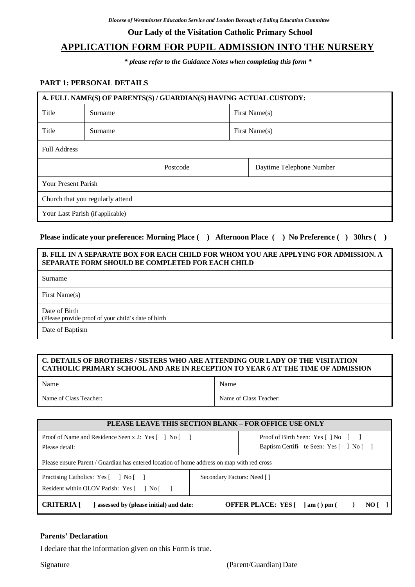### **Our Lady of the Visitation Catholic Primary School**

# **APPLICATION FORM FOR PUPIL ADMISSION INTO THE NURSERY**

*\* please refer to the Guidance Notes when completing this form \**

### **PART 1: PERSONAL DETAILS**

| A. FULL NAME(S) OF PARENTS(S) / GUARDIAN(S) HAVING ACTUAL CUSTODY: |          |  |                          |  |  |
|--------------------------------------------------------------------|----------|--|--------------------------|--|--|
| Title                                                              | Surname  |  | First Name(s)            |  |  |
| Title                                                              | Surname  |  | First Name(s)            |  |  |
| <b>Full Address</b>                                                |          |  |                          |  |  |
|                                                                    | Postcode |  | Daytime Telephone Number |  |  |
| <b>Your Present Parish</b>                                         |          |  |                          |  |  |
| Church that you regularly attend                                   |          |  |                          |  |  |
| Your Last Parish (if applicable)                                   |          |  |                          |  |  |

### **Please indicate your preference: Morning Place ( ) Afternoon Place ( ) No Preference ( ) 30hrs ( )**

#### **B. FILL IN A SEPARATE BOX FOR EACH CHILD FOR WHOM YOU ARE APPLYING FOR ADMISSION. A SEPARATE FORM SHOULD BE COMPLETED FOR EACH CHILD**

Surname

First Name(s)

Date of Birth

(Please provide proof of your child's date of birth

Date of Baptism

### **C. DETAILS OF BROTHERS / SISTERS WHO ARE ATTENDING OUR LADY OF THE VISITATION CATHOLIC PRIMARY SCHOOL AND ARE IN RECEPTION TO YEAR 6 AT THE TIME OF ADMISSION**

| Name                   | Name                   |
|------------------------|------------------------|
| Name of Class Teacher: | Name of Class Teacher: |

| <b>PLEASE LEAVE THIS SECTION BLANK – FOR OFFICE USE ONLY</b>                               |                            |                                                         |  |  |  |
|--------------------------------------------------------------------------------------------|----------------------------|---------------------------------------------------------|--|--|--|
| Proof of Name and Residence Seen x 2: Yes [ ] No [ ]                                       |                            | Proof of Birth Seen: Yes [ ] No [ ]                     |  |  |  |
| Please detail:                                                                             |                            | Baptism Certific te Seen: Yes [ ] No [ ]                |  |  |  |
| Please ensure Parent / Guardian has entered location of home address on map with red cross |                            |                                                         |  |  |  |
| Practising Catholics: Yes [ ] No [ ]                                                       | Secondary Factors: Need [] |                                                         |  |  |  |
| Resident within OLOV Parish: Yes [ ] No [ ]                                                |                            |                                                         |  |  |  |
| <b>CRITERIA</b> [<br>assessed by (please initial) and date:                                |                            | <b>OFFER PLACE:</b> YES $[$ $]$ am $()$ pm $()$<br>NO I |  |  |  |

#### **Parents' Declaration**

I declare that the information given on this Form is true.

Signature (Parent/Guardian) Date